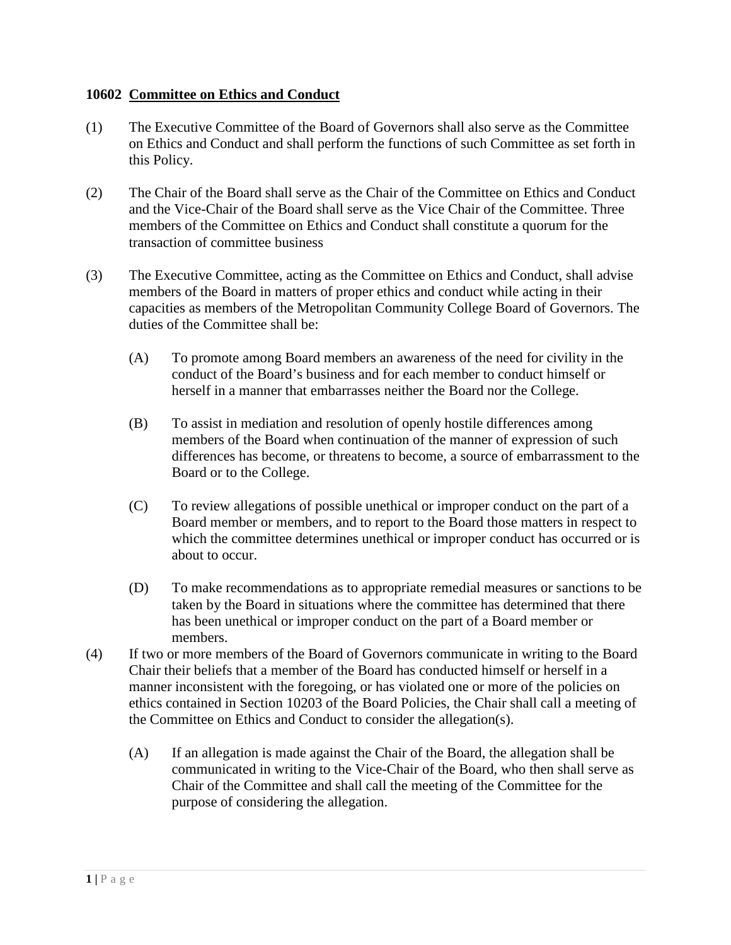## **10602 Committee on Ethics and Conduct**

- (1) The Executive Committee of the Board of Governors shall also serve as the Committee on Ethics and Conduct and shall perform the functions of such Committee as set forth in this Policy.
- (2) The Chair of the Board shall serve as the Chair of the Committee on Ethics and Conduct and the Vice-Chair of the Board shall serve as the Vice Chair of the Committee. Three members of the Committee on Ethics and Conduct shall constitute a quorum for the transaction of committee business
- (3) The Executive Committee, acting as the Committee on Ethics and Conduct, shall advise members of the Board in matters of proper ethics and conduct while acting in their capacities as members of the Metropolitan Community College Board of Governors. The duties of the Committee shall be:
	- (A) To promote among Board members an awareness of the need for civility in the conduct of the Board's business and for each member to conduct himself or herself in a manner that embarrasses neither the Board nor the College.
	- (B) To assist in mediation and resolution of openly hostile differences among members of the Board when continuation of the manner of expression of such differences has become, or threatens to become, a source of embarrassment to the Board or to the College.
	- (C) To review allegations of possible unethical or improper conduct on the part of a Board member or members, and to report to the Board those matters in respect to which the committee determines unethical or improper conduct has occurred or is about to occur.
	- (D) To make recommendations as to appropriate remedial measures or sanctions to be taken by the Board in situations where the committee has determined that there has been unethical or improper conduct on the part of a Board member or members.
- (4) If two or more members of the Board of Governors communicate in writing to the Board Chair their beliefs that a member of the Board has conducted himself or herself in a manner inconsistent with the foregoing, or has violated one or more of the policies on ethics contained in Section 10203 of the Board Policies, the Chair shall call a meeting of the Committee on Ethics and Conduct to consider the allegation(s).
	- (A) If an allegation is made against the Chair of the Board, the allegation shall be communicated in writing to the Vice-Chair of the Board, who then shall serve as Chair of the Committee and shall call the meeting of the Committee for the purpose of considering the allegation.